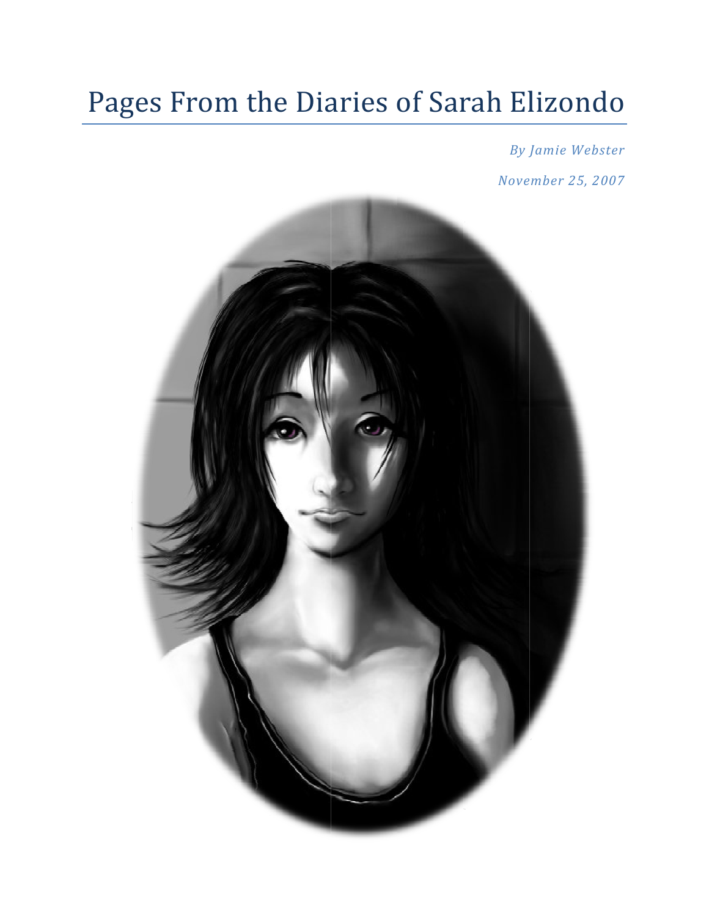# Pages From the Diaries of Sarah Elizondo

**By Jamie Webster** November 25, 2007

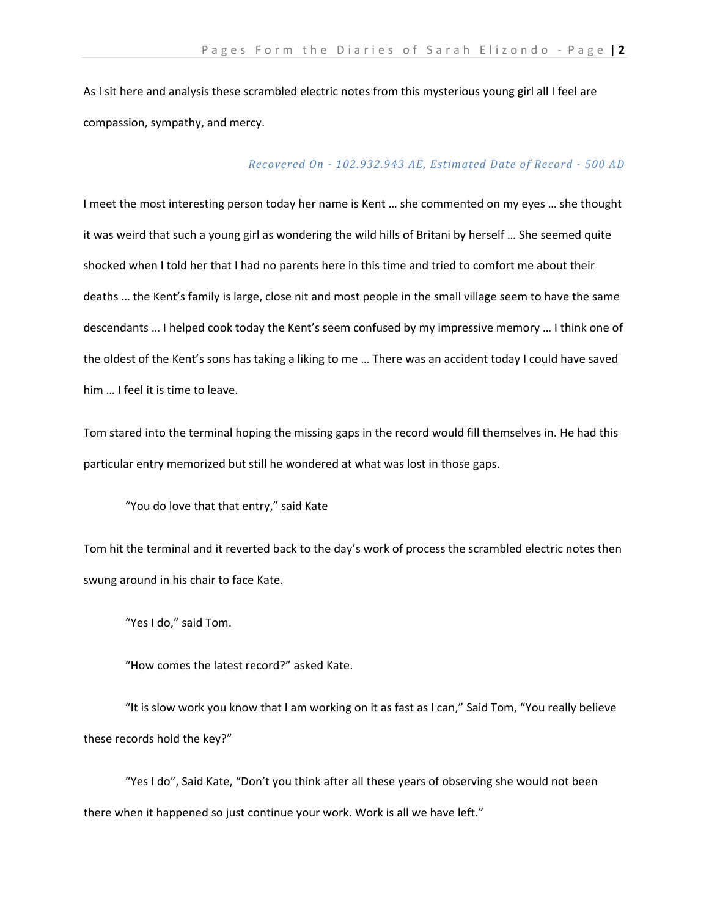As I sit here and analysis these scrambled electric notes from this mysterious young girl all I feel are compassion, sympathy, and mercy.

# *Recovered On 102.932.943 AE, Estimated Date of Record 500 AD*

I meet the most interesting person today her name is Kent … she commented on my eyes … she thought it was weird that such a young girl as wondering the wild hills of Britani by herself … She seemed quite shocked when I told her that I had no parents here in this time and tried to comfort me about their deaths … the Kent's family is large, close nit and most people in the small village seem to have the same descendants … I helped cook today the Kent's seem confused by my impressive memory … I think one of the oldest of the Kent's sons has taking a liking to me … There was an accident today I could have saved him … I feel it is time to leave.

Tom stared into the terminal hoping the missing gaps in the record would fill themselves in. He had this particular entry memorized but still he wondered at what was lost in those gaps.

"You do love that that entry," said Kate

Tom hit the terminal and it reverted back to the day's work of process the scrambled electric notes then swung around in his chair to face Kate.

"Yes I do," said Tom.

"How comes the latest record?" asked Kate.

"It is slow work you know that I am working on it as fast as I can," Said Tom, "You really believe these records hold the key?"

"Yes I do", Said Kate, "Don't you think after all these years of observing she would not been there when it happened so just continue your work. Work is all we have left."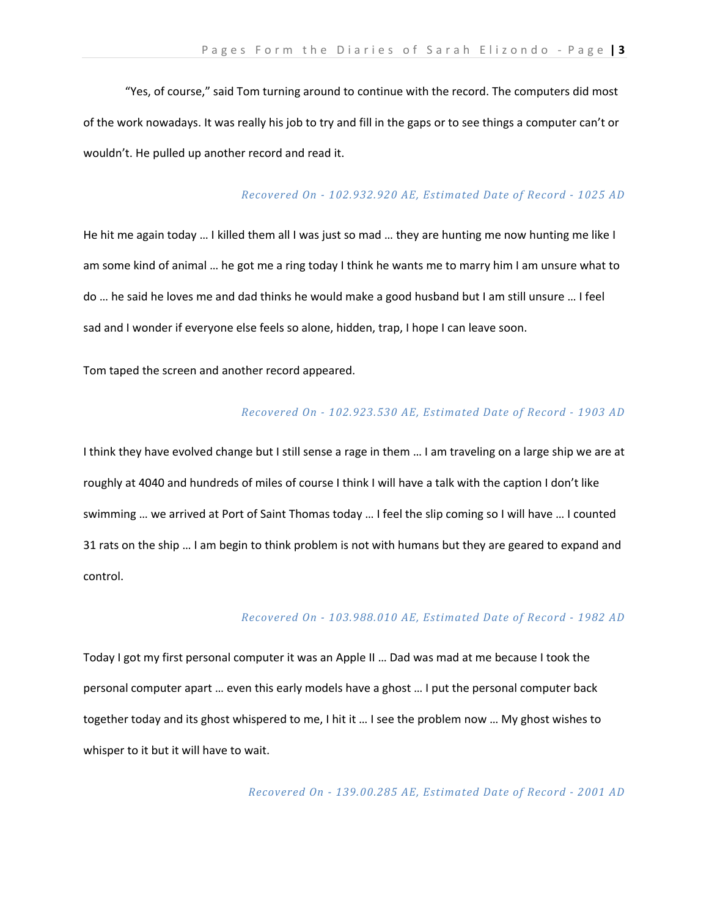"Yes, of course," said Tom turning around to continue with the record. The computers did most of the work nowadays. It was really his job to try and fill in the gaps or to see things a computer can't or wouldn't. He pulled up another record and read it.

## *Recovered On 102.932.920 AE, Estimated Date of Record 1025 AD*

He hit me again today … I killed them all I was just so mad … they are hunting me now hunting me like I am some kind of animal … he got me a ring today I think he wants me to marry him I am unsure what to do … he said he loves me and dad thinks he would make a good husband but I am still unsure … I feel sad and I wonder if everyone else feels so alone, hidden, trap, I hope I can leave soon.

# Tom taped the screen and another record appeared.

### *Recovered On 102.923.530 AE, Estimated Date of Record 1903 AD*

I think they have evolved change but I still sense a rage in them … I am traveling on a large ship we are at roughly at 4040 and hundreds of miles of course I think I will have a talk with the caption I don't like swimming … we arrived at Port of Saint Thomas today … I feel the slip coming so I will have … I counted 31 rats on the ship … I am begin to think problem is not with humans but they are geared to expand and control.

## *Recovered On 103.988.010 AE, Estimated Date of Record 1982 AD*

Today I got my first personal computer it was an Apple II … Dad was mad at me because I took the personal computer apart … even this early models have a ghost … I put the personal computer back together today and its ghost whispered to me, I hit it … I see the problem now … My ghost wishes to whisper to it but it will have to wait.

*Recovered On 139.00.285 AE, Estimated Date of Record 2001 AD*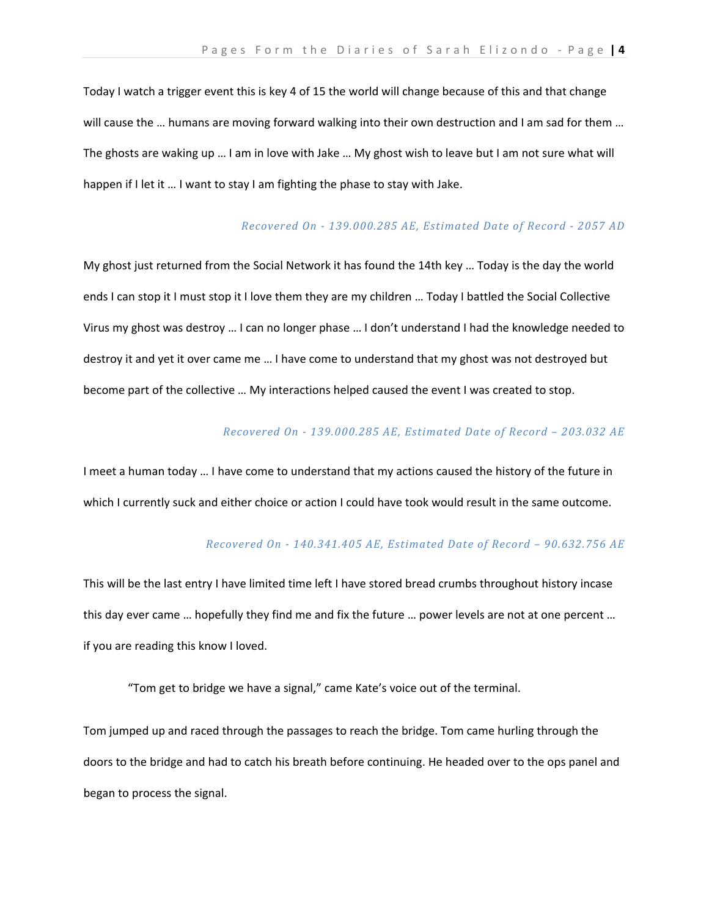Today I watch a trigger event this is key 4 of 15 the world will change because of this and that change will cause the ... humans are moving forward walking into their own destruction and I am sad for them ... The ghosts are waking up … I am in love with Jake … My ghost wish to leave but I am not sure what will happen if I let it … I want to stay I am fighting the phase to stay with Jake.

# *Recovered On 139.000.285 AE, Estimated Date of Record 2057 AD*

My ghost just returned from the Social Network it has found the 14th key … Today is the day the world ends I can stop it I must stop it I love them they are my children … Today I battled the Social Collective Virus my ghost was destroy … I can no longer phase … I don't understand I had the knowledge needed to destroy it and yet it over came me … I have come to understand that my ghost was not destroyed but become part of the collective … My interactions helped caused the event I was created to stop.

## *Recovered On 139.000.285 AE, Estimated Date of Record – 203.032 AE*

I meet a human today … I have come to understand that my actions caused the history of the future in which I currently suck and either choice or action I could have took would result in the same outcome.

## *Recovered On 140.341.405 AE, Estimated Date of Record – 90.632.756 AE*

This will be the last entry I have limited time left I have stored bread crumbs throughout history incase this day ever came … hopefully they find me and fix the future … power levels are not at one percent … if you are reading this know I loved.

"Tom get to bridge we have a signal," came Kate's voice out of the terminal.

Tom jumped up and raced through the passages to reach the bridge. Tom came hurling through the doors to the bridge and had to catch his breath before continuing. He headed over to the ops panel and began to process the signal.